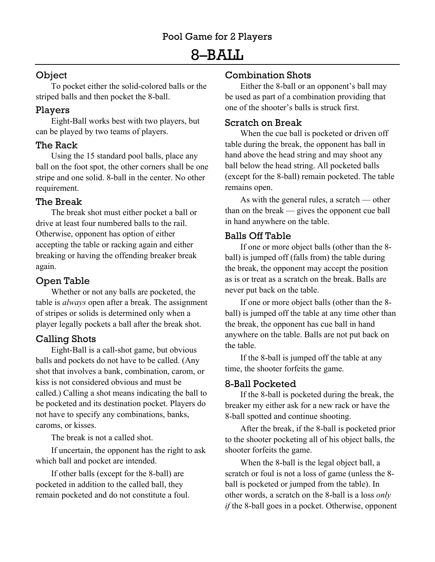# 8–BALL

# **Object**

To pocket either the solid-colored balls or the striped balls and then pocket the 8-ball.

## Players

Eight-Ball works best with two players, but can be played by two teams of players.

## The Rack

Using the 15 standard pool balls, place any ball on the foot spot, the other corners shall be one stripe and one solid. 8-ball in the center. No other requirement.

## The Break

The break shot must either pocket a ball or drive at least four numbered balls to the rail. Otherwise, opponent has option of either accepting the table or racking again and either breaking or having the offending breaker break again.

## Open Table

Whether or not any balls are pocketed, the table is *always* open after a break. The assignment of stripes or solids is determined only when a player legally pockets a ball after the break shot.

## Calling Shots

Eight-Ball is a call-shot game, but obvious balls and pockets do not have to be called. (Any shot that involves a bank, combination, carom, or kiss is not considered obvious and must be called.) Calling a shot means indicating the ball to be pocketed and its destination pocket. Players do not have to specify any combinations, banks, caroms, or kisses.

The break is not a called shot.

If uncertain, the opponent has the right to ask which ball and pocket are intended.

If other balls (except for the 8-ball) are pocketed in addition to the called ball, they remain pocketed and do not constitute a foul.

## Combination Shots

Either the 8-ball or an opponent's ball may be used as part of a combination providing that one of the shooter's balls is struck first.

## Scratch on Break

When the cue ball is pocketed or driven off table during the break, the opponent has ball in hand above the head string and may shoot any ball below the head string. All pocketed balls (except for the 8-ball) remain pocketed. The table remains open.

As with the general rules, a scratch — other than on the break — gives the opponent cue ball in hand anywhere on the table.

#### Balls Off Table

If one or more object balls (other than the 8 ball) is jumped off (falls from) the table during the break, the opponent may accept the position as is or treat as a scratch on the break. Balls are never put back on the table.

If one or more object balls (other than the 8 ball) is jumped off the table at any time other than the break, the opponent has cue ball in hand anywhere on the table. Balls are not put back on the table.

If the 8-ball is jumped off the table at any time, the shooter forfeits the game.

## 8-Ball Pocketed

If the 8-ball is pocketed during the break, the breaker my either ask for a new rack or have the 8-ball spotted and continue shooting.

After the break, if the 8-ball is pocketed prior to the shooter pocketing all of his object balls, the shooter forfeits the game.

When the 8-ball is the legal object ball, a scratch or foul is not a loss of game (unless the 8 ball is pocketed or jumped from the table). In other words, a scratch on the 8-ball is a loss *only if* the 8-ball goes in a pocket. Otherwise, opponent